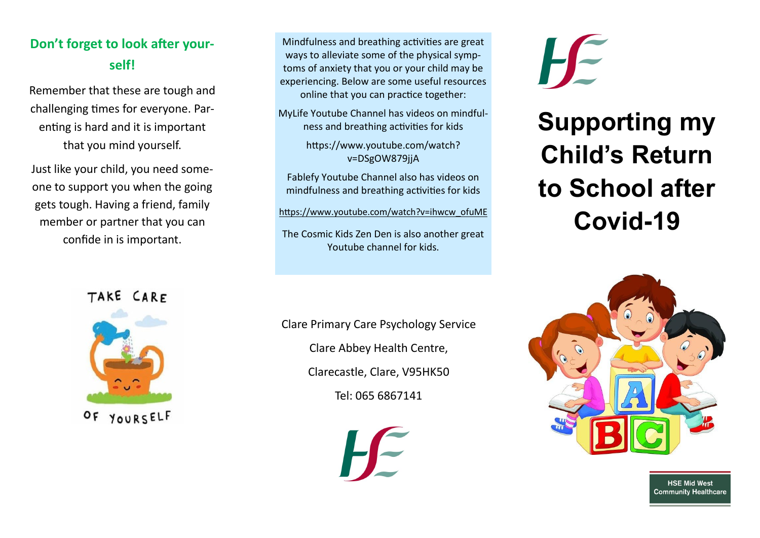## **Don't forget to look after yourself!**

Remember that these are tough and challenging times for everyone. Parenting is hard and it is important that you mind yourself.

Just like your child, you need someone to support you when the going gets tough. Having a friend, family member or partner that you can confide in is important.

Mindfulness and breathing activities are great ways to alleviate some of the physical symptoms of anxiety that you or your child may be experiencing. Below are some useful resources online that you can practice together:

MyLife Youtube Channel has videos on mindfulness and breathing activities for kids

> https://www.youtube.com/watch? v=DSgOW879jjA

Fablefy Youtube Channel also has videos on mindfulness and breathing activities for kids

[https://www.youtube.com/watch?v=ihwcw\\_ofuME](https://www.youtube.com/watch?v=ihwcw_ofuME)

The Cosmic Kids Zen Den is also another great Youtube channel for kids.

Clare Primary Care Psychology Service Clare Abbey Health Centre, Clarecastle, Clare, V95HK50 Tel: 065 6867141

**H-**

# **Supporting my Child's Return to School after Covid-19**



**HSE Mid West Community Healthcare** 

### TAKE CARF



 $O F$ YOURSELF